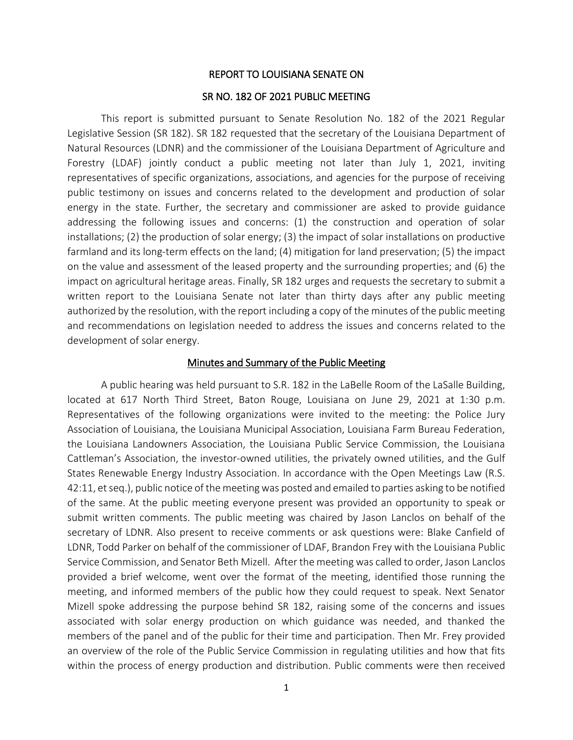#### REPORT TO LOUISIANA SENATE ON

#### SR NO. 182 OF 2021 PUBLIC MEETING

This report is submitted pursuant to Senate Resolution No. 182 of the 2021 Regular Legislative Session (SR 182). SR 182 requested that the secretary of the Louisiana Department of Natural Resources (LDNR) and the commissioner of the Louisiana Department of Agriculture and Forestry (LDAF) jointly conduct a public meeting not later than July 1, 2021, inviting representatives of specific organizations, associations, and agencies for the purpose of receiving public testimony on issues and concerns related to the development and production of solar energy in the state. Further, the secretary and commissioner are asked to provide guidance addressing the following issues and concerns: (1) the construction and operation of solar installations; (2) the production of solar energy; (3) the impact of solar installations on productive farmland and its long-term effects on the land; (4) mitigation for land preservation; (5) the impact on the value and assessment of the leased property and the surrounding properties; and (6) the impact on agricultural heritage areas. Finally, SR 182 urges and requests the secretary to submit a written report to the Louisiana Senate not later than thirty days after any public meeting authorized by the resolution, with the report including a copy of the minutes of the public meeting and recommendations on legislation needed to address the issues and concerns related to the development of solar energy.

#### Minutes and Summary of the Public Meeting

A public hearing was held pursuant to S.R. 182 in the LaBelle Room of the LaSalle Building, located at 617 North Third Street, Baton Rouge, Louisiana on June 29, 2021 at 1:30 p.m. Representatives of the following organizations were invited to the meeting: the Police Jury Association of Louisiana, the Louisiana Municipal Association, Louisiana Farm Bureau Federation, the Louisiana Landowners Association, the Louisiana Public Service Commission, the Louisiana Cattleman's Association, the investor-owned utilities, the privately owned utilities, and the Gulf States Renewable Energy Industry Association. In accordance with the Open Meetings Law (R.S. 42:11, et seq.), public notice of the meeting was posted and emailed to parties asking to be notified of the same. At the public meeting everyone present was provided an opportunity to speak or submit written comments. The public meeting was chaired by Jason Lanclos on behalf of the secretary of LDNR. Also present to receive comments or ask questions were: Blake Canfield of LDNR, Todd Parker on behalf of the commissioner of LDAF, Brandon Frey with the Louisiana Public Service Commission, and Senator Beth Mizell. After the meeting was called to order, Jason Lanclos provided a brief welcome, went over the format of the meeting, identified those running the meeting, and informed members of the public how they could request to speak. Next Senator Mizell spoke addressing the purpose behind SR 182, raising some of the concerns and issues associated with solar energy production on which guidance was needed, and thanked the members of the panel and of the public for their time and participation. Then Mr. Frey provided an overview of the role of the Public Service Commission in regulating utilities and how that fits within the process of energy production and distribution. Public comments were then received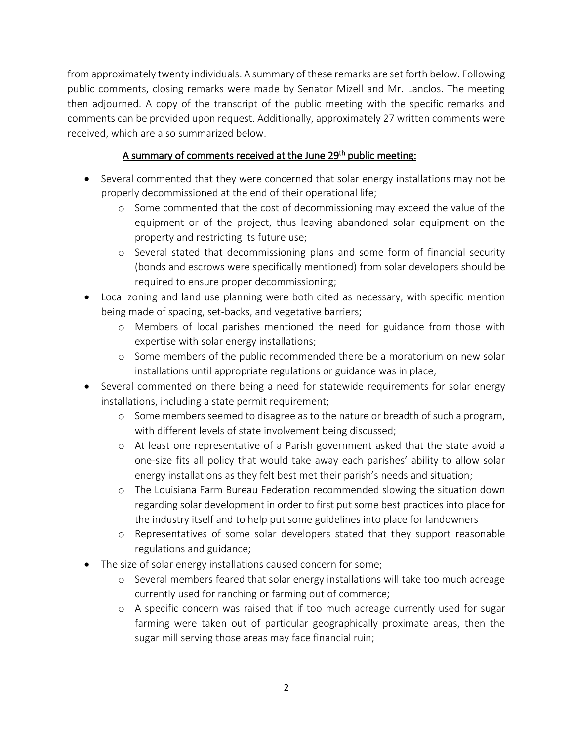from approximately twenty individuals. A summary of these remarks are set forth below. Following public comments, closing remarks were made by Senator Mizell and Mr. Lanclos. The meeting then adjourned. A copy of the transcript of the public meeting with the specific remarks and comments can be provided upon request. Additionally, approximately 27 written comments were received, which are also summarized below.

# A summary of comments received at the June 29<sup>th</sup> public meeting:

- Several commented that they were concerned that solar energy installations may not be properly decommissioned at the end of their operational life;
	- o Some commented that the cost of decommissioning may exceed the value of the equipment or of the project, thus leaving abandoned solar equipment on the property and restricting its future use;
	- o Several stated that decommissioning plans and some form of financial security (bonds and escrows were specifically mentioned) from solar developers should be required to ensure proper decommissioning;
- Local zoning and land use planning were both cited as necessary, with specific mention being made of spacing, set-backs, and vegetative barriers;
	- o Members of local parishes mentioned the need for guidance from those with expertise with solar energy installations;
	- o Some members of the public recommended there be a moratorium on new solar installations until appropriate regulations or guidance was in place;
- Several commented on there being a need for statewide requirements for solar energy installations, including a state permit requirement;
	- o Some members seemed to disagree as to the nature or breadth of such a program, with different levels of state involvement being discussed;
	- o At least one representative of a Parish government asked that the state avoid a one-size fits all policy that would take away each parishes' ability to allow solar energy installations as they felt best met their parish's needs and situation;
	- o The Louisiana Farm Bureau Federation recommended slowing the situation down regarding solar development in order to first put some best practices into place for the industry itself and to help put some guidelines into place for landowners
	- o Representatives of some solar developers stated that they support reasonable regulations and guidance;
- The size of solar energy installations caused concern for some;
	- o Several members feared that solar energy installations will take too much acreage currently used for ranching or farming out of commerce;
	- o A specific concern was raised that if too much acreage currently used for sugar farming were taken out of particular geographically proximate areas, then the sugar mill serving those areas may face financial ruin;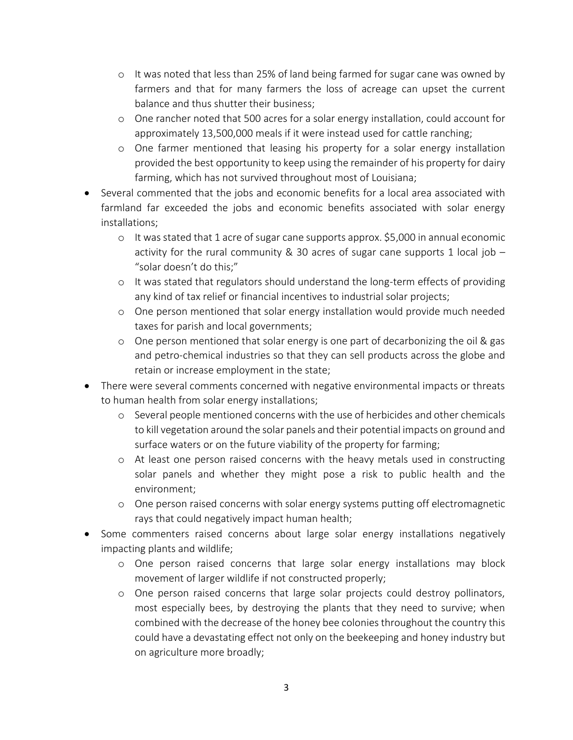- $\circ$  It was noted that less than 25% of land being farmed for sugar cane was owned by farmers and that for many farmers the loss of acreage can upset the current balance and thus shutter their business;
- o One rancher noted that 500 acres for a solar energy installation, could account for approximately 13,500,000 meals if it were instead used for cattle ranching;
- o One farmer mentioned that leasing his property for a solar energy installation provided the best opportunity to keep using the remainder of his property for dairy farming, which has not survived throughout most of Louisiana;
- Several commented that the jobs and economic benefits for a local area associated with farmland far exceeded the jobs and economic benefits associated with solar energy installations;
	- $\circ$  It was stated that 1 acre of sugar cane supports approx. \$5,000 in annual economic activity for the rural community & 30 acres of sugar cane supports 1 local job  $-$ "solar doesn't do this;"
	- o It was stated that regulators should understand the long-term effects of providing any kind of tax relief or financial incentives to industrial solar projects;
	- o One person mentioned that solar energy installation would provide much needed taxes for parish and local governments;
	- o One person mentioned that solar energy is one part of decarbonizing the oil & gas and petro-chemical industries so that they can sell products across the globe and retain or increase employment in the state;
- There were several comments concerned with negative environmental impacts or threats to human health from solar energy installations;
	- o Several people mentioned concerns with the use of herbicides and other chemicals to kill vegetation around the solar panels and their potential impacts on ground and surface waters or on the future viability of the property for farming;
	- o At least one person raised concerns with the heavy metals used in constructing solar panels and whether they might pose a risk to public health and the environment;
	- o One person raised concerns with solar energy systems putting off electromagnetic rays that could negatively impact human health;
- Some commenters raised concerns about large solar energy installations negatively impacting plants and wildlife;
	- o One person raised concerns that large solar energy installations may block movement of larger wildlife if not constructed properly;
	- o One person raised concerns that large solar projects could destroy pollinators, most especially bees, by destroying the plants that they need to survive; when combined with the decrease of the honey bee colonies throughout the country this could have a devastating effect not only on the beekeeping and honey industry but on agriculture more broadly;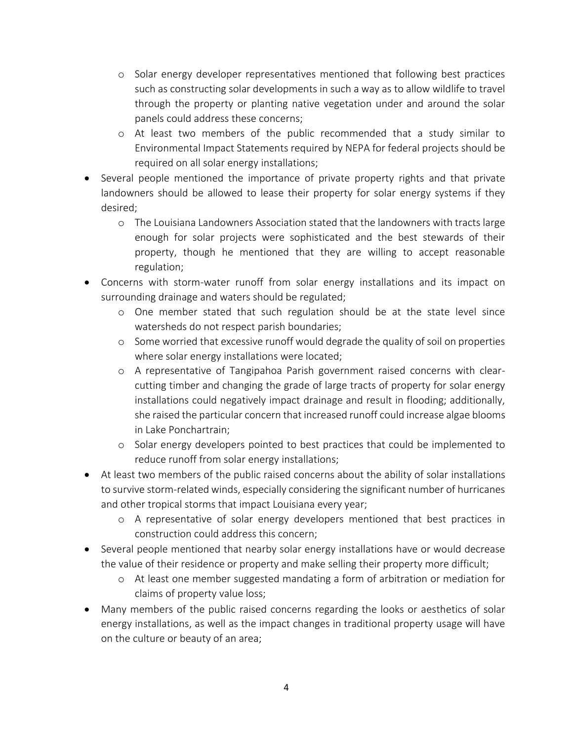- o Solar energy developer representatives mentioned that following best practices such as constructing solar developments in such a way as to allow wildlife to travel through the property or planting native vegetation under and around the solar panels could address these concerns;
- o At least two members of the public recommended that a study similar to Environmental Impact Statements required by NEPA for federal projects should be required on all solar energy installations;
- Several people mentioned the importance of private property rights and that private landowners should be allowed to lease their property for solar energy systems if they desired;
	- o The Louisiana Landowners Association stated that the landowners with tracts large enough for solar projects were sophisticated and the best stewards of their property, though he mentioned that they are willing to accept reasonable regulation;
- Concerns with storm-water runoff from solar energy installations and its impact on surrounding drainage and waters should be regulated;
	- o One member stated that such regulation should be at the state level since watersheds do not respect parish boundaries;
	- o Some worried that excessive runoff would degrade the quality of soil on properties where solar energy installations were located;
	- o A representative of Tangipahoa Parish government raised concerns with clearcutting timber and changing the grade of large tracts of property for solar energy installations could negatively impact drainage and result in flooding; additionally, she raised the particular concern that increased runoff could increase algae blooms in Lake Ponchartrain;
	- o Solar energy developers pointed to best practices that could be implemented to reduce runoff from solar energy installations;
- At least two members of the public raised concerns about the ability of solar installations to survive storm-related winds, especially considering the significant number of hurricanes and other tropical storms that impact Louisiana every year;
	- o A representative of solar energy developers mentioned that best practices in construction could address this concern;
- Several people mentioned that nearby solar energy installations have or would decrease the value of their residence or property and make selling their property more difficult;
	- o At least one member suggested mandating a form of arbitration or mediation for claims of property value loss;
- Many members of the public raised concerns regarding the looks or aesthetics of solar energy installations, as well as the impact changes in traditional property usage will have on the culture or beauty of an area;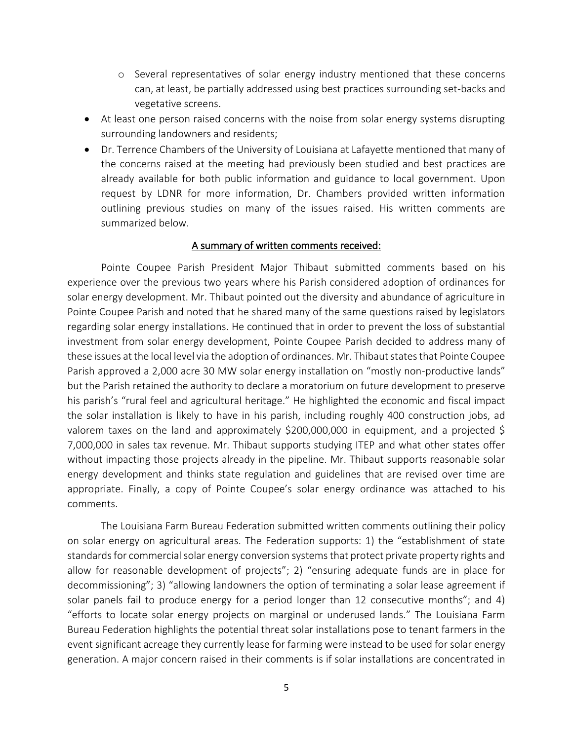- o Several representatives of solar energy industry mentioned that these concerns can, at least, be partially addressed using best practices surrounding set-backs and vegetative screens.
- At least one person raised concerns with the noise from solar energy systems disrupting surrounding landowners and residents;
- Dr. Terrence Chambers of the University of Louisiana at Lafayette mentioned that many of the concerns raised at the meeting had previously been studied and best practices are already available for both public information and guidance to local government. Upon request by LDNR for more information, Dr. Chambers provided written information outlining previous studies on many of the issues raised. His written comments are summarized below.

### A summary of written comments received:

Pointe Coupee Parish President Major Thibaut submitted comments based on his experience over the previous two years where his Parish considered adoption of ordinances for solar energy development. Mr. Thibaut pointed out the diversity and abundance of agriculture in Pointe Coupee Parish and noted that he shared many of the same questions raised by legislators regarding solar energy installations. He continued that in order to prevent the loss of substantial investment from solar energy development, Pointe Coupee Parish decided to address many of these issues at the local level via the adoption of ordinances. Mr. Thibaut states that Pointe Coupee Parish approved a 2,000 acre 30 MW solar energy installation on "mostly non-productive lands" but the Parish retained the authority to declare a moratorium on future development to preserve his parish's "rural feel and agricultural heritage." He highlighted the economic and fiscal impact the solar installation is likely to have in his parish, including roughly 400 construction jobs, ad valorem taxes on the land and approximately \$200,000,000 in equipment, and a projected \$ 7,000,000 in sales tax revenue. Mr. Thibaut supports studying ITEP and what other states offer without impacting those projects already in the pipeline. Mr. Thibaut supports reasonable solar energy development and thinks state regulation and guidelines that are revised over time are appropriate. Finally, a copy of Pointe Coupee's solar energy ordinance was attached to his comments.

The Louisiana Farm Bureau Federation submitted written comments outlining their policy on solar energy on agricultural areas. The Federation supports: 1) the "establishment of state standards for commercial solar energy conversion systems that protect private property rights and allow for reasonable development of projects"; 2) "ensuring adequate funds are in place for decommissioning"; 3) "allowing landowners the option of terminating a solar lease agreement if solar panels fail to produce energy for a period longer than 12 consecutive months"; and 4) "efforts to locate solar energy projects on marginal or underused lands." The Louisiana Farm Bureau Federation highlights the potential threat solar installations pose to tenant farmers in the event significant acreage they currently lease for farming were instead to be used for solar energy generation. A major concern raised in their comments is if solar installations are concentrated in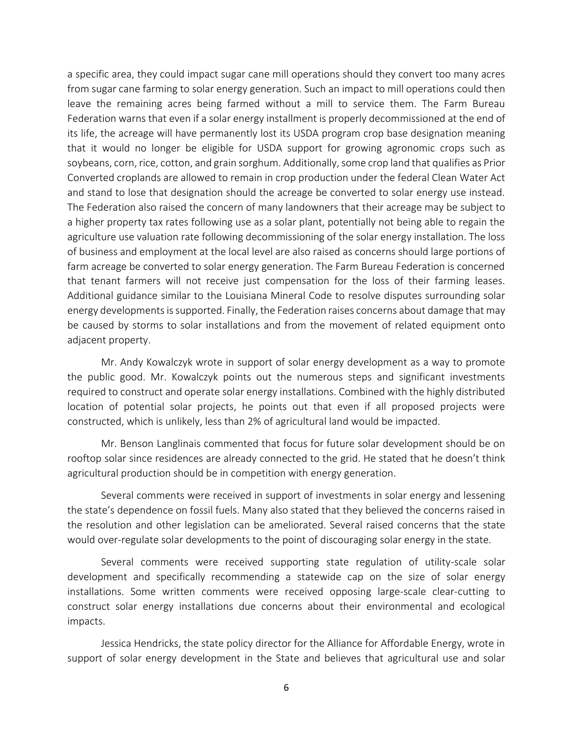a specific area, they could impact sugar cane mill operations should they convert too many acres from sugar cane farming to solar energy generation. Such an impact to mill operations could then leave the remaining acres being farmed without a mill to service them. The Farm Bureau Federation warns that even if a solar energy installment is properly decommissioned at the end of its life, the acreage will have permanently lost its USDA program crop base designation meaning that it would no longer be eligible for USDA support for growing agronomic crops such as soybeans, corn, rice, cotton, and grain sorghum. Additionally, some crop land that qualifies as Prior Converted croplands are allowed to remain in crop production under the federal Clean Water Act and stand to lose that designation should the acreage be converted to solar energy use instead. The Federation also raised the concern of many landowners that their acreage may be subject to a higher property tax rates following use as a solar plant, potentially not being able to regain the agriculture use valuation rate following decommissioning of the solar energy installation. The loss of business and employment at the local level are also raised as concerns should large portions of farm acreage be converted to solar energy generation. The Farm Bureau Federation is concerned that tenant farmers will not receive just compensation for the loss of their farming leases. Additional guidance similar to the Louisiana Mineral Code to resolve disputes surrounding solar energy developments is supported. Finally, the Federation raises concerns about damage that may be caused by storms to solar installations and from the movement of related equipment onto adjacent property.

Mr. Andy Kowalczyk wrote in support of solar energy development as a way to promote the public good. Mr. Kowalczyk points out the numerous steps and significant investments required to construct and operate solar energy installations. Combined with the highly distributed location of potential solar projects, he points out that even if all proposed projects were constructed, which is unlikely, less than 2% of agricultural land would be impacted.

Mr. Benson Langlinais commented that focus for future solar development should be on rooftop solar since residences are already connected to the grid. He stated that he doesn't think agricultural production should be in competition with energy generation.

Several comments were received in support of investments in solar energy and lessening the state's dependence on fossil fuels. Many also stated that they believed the concerns raised in the resolution and other legislation can be ameliorated. Several raised concerns that the state would over-regulate solar developments to the point of discouraging solar energy in the state.

Several comments were received supporting state regulation of utility-scale solar development and specifically recommending a statewide cap on the size of solar energy installations. Some written comments were received opposing large-scale clear-cutting to construct solar energy installations due concerns about their environmental and ecological impacts.

Jessica Hendricks, the state policy director for the Alliance for Affordable Energy, wrote in support of solar energy development in the State and believes that agricultural use and solar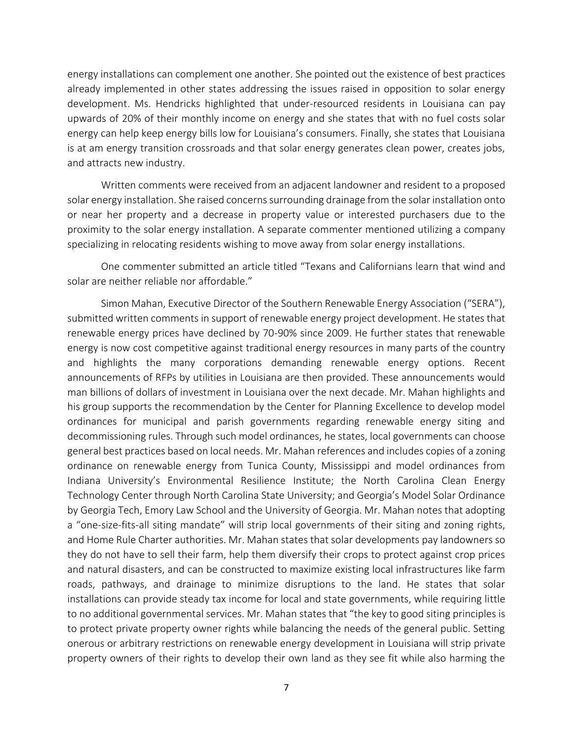energy installations can complement one another. She pointed out the existence of best practices already implemented in other states addressing the issues raised in opposition to solar energy development. Ms. Hendricks highlighted that under-resourced residents in Louisiana can pay upwards of 20% of their monthly income on energy and she states that with no fuel costs solar energy can help keep energy bills low for Louisiana's consumers. Finally, she states that Louisiana is at am energy transition crossroads and that solar energy generates clean power, creates jobs, and attracts new industry.

Written comments were received from an adjacent landowner and resident to a proposed solar energy installation. She raised concerns surrounding drainage from the solar installation onto or near her property and a decrease in property value or interested purchasers due to the proximity to the solar energy installation. A separate commenter mentioned utilizing a company specializing in relocating residents wishing to move away from solar energy installations.

One commenter submitted an article titled "Texans and Californians learn that wind and solar are neither reliable nor affordable."

Simon Mahan, Executive Director of the Southern Renewable Energy Association ("SERA"), submitted written comments in support of renewable energy project development. He states that renewable energy prices have declined by 70-90% since 2009. He further states that renewable energy is now cost competitive against traditional energy resources in many parts of the country and highlights the many corporations demanding renewable energy options. Recent announcements of RFPs by utilities in Louisiana are then provided. These announcements would man billions of dollars of investment in Louisiana over the next decade. Mr. Mahan highlights and his group supports the recommendation by the Center for Planning Excellence to develop model ordinances for municipal and parish governments regarding renewable energy siting and decommissioning rules. Through such model ordinances, he states, local governments can choose general best practices based on local needs. Mr. Mahan references and includes copies of a zoning ordinance on renewable energy from Tunica County, Mississippi and model ordinances from Indiana University's Environmental Resilience Institute; the North Carolina Clean Energy Technology Center through North Carolina State University; and Georgia's Model Solar Ordinance by Georgia Tech, Emory Law School and the University of Georgia. Mr. Mahan notes that adopting a "one-size-fits-all siting mandate" will strip local governments of their siting and zoning rights, and Home Rule Charter authorities. Mr. Mahan states that solar developments pay landowners so they do not have to sell their farm, help them diversify their crops to protect against crop prices and natural disasters, and can be constructed to maximize existing local infrastructures like farm roads, pathways, and drainage to minimize disruptions to the land. He states that solar installations can provide steady tax income for local and state governments, while requiring little to no additional governmental services. Mr. Mahan states that "the key to good siting principles is to protect private property owner rights while balancing the needs of the general public. Setting onerous or arbitrary restrictions on renewable energy development in Louisiana will strip private property owners of their rights to develop their own land as they see fit while also harming the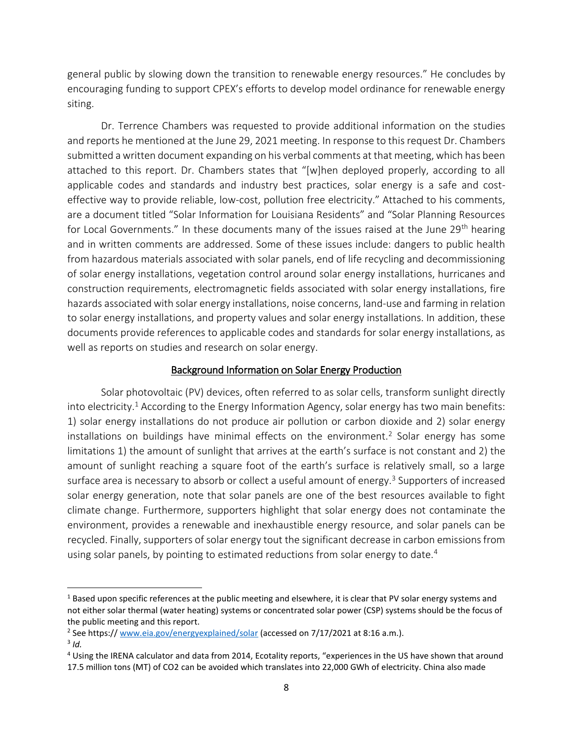general public by slowing down the transition to renewable energy resources." He concludes by encouraging funding to support CPEX's efforts to develop model ordinance for renewable energy siting.

Dr. Terrence Chambers was requested to provide additional information on the studies and reports he mentioned at the June 29, 2021 meeting. In response to this request Dr. Chambers submitted a written document expanding on his verbal comments at that meeting, which has been attached to this report. Dr. Chambers states that "[w]hen deployed properly, according to all applicable codes and standards and industry best practices, solar energy is a safe and costeffective way to provide reliable, low-cost, pollution free electricity." Attached to his comments, are a document titled "Solar Information for Louisiana Residents" and "Solar Planning Resources for Local Governments." In these documents many of the issues raised at the June 29<sup>th</sup> hearing and in written comments are addressed. Some of these issues include: dangers to public health from hazardous materials associated with solar panels, end of life recycling and decommissioning of solar energy installations, vegetation control around solar energy installations, hurricanes and construction requirements, electromagnetic fields associated with solar energy installations, fire hazards associated with solar energy installations, noise concerns, land-use and farming in relation to solar energy installations, and property values and solar energy installations. In addition, these documents provide references to applicable codes and standards for solar energy installations, as well as reports on studies and research on solar energy.

## Background Information on Solar Energy Production

 Solar photovoltaic (PV) devices, often referred to as solar cells, transform sunlight directly into electricity.<sup>1</sup> According to the Energy Information Agency, solar energy has two main benefits: 1) solar energy installations do not produce air pollution or carbon dioxide and 2) solar energy installations on buildings have minimal effects on the environment.<sup>2</sup> Solar energy has some limitations 1) the amount of sunlight that arrives at the earth's surface is not constant and 2) the amount of sunlight reaching a square foot of the earth's surface is relatively small, so a large surface area is necessary to absorb or collect a useful amount of energy.<sup>3</sup> Supporters of increased solar energy generation, note that solar panels are one of the best resources available to fight climate change. Furthermore, supporters highlight that solar energy does not contaminate the environment, provides a renewable and inexhaustible energy resource, and solar panels can be recycled. Finally, supporters of solar energy tout the significant decrease in carbon emissions from using solar panels, by pointing to estimated reductions from solar energy to date.<sup>4</sup>

 $\overline{\phantom{a}}$ 

 $1$  Based upon specific references at the public meeting and elsewhere, it is clear that PV solar energy systems and not either solar thermal (water heating) systems or concentrated solar power (CSP) systems should be the focus of the public meeting and this report.

<sup>&</sup>lt;sup>2</sup> See https:// <u>www.eia.gov/energyexplained/solar</u> (accessed on 7/17/2021 at 8:16 a.m.).

<sup>3</sup> *Id.*

<sup>&</sup>lt;sup>4</sup> Using the IRENA calculator and data from 2014, Ecotality reports, "experiences in the US have shown that around 17.5 million tons (MT) of CO2 can be avoided which translates into 22,000 GWh of electricity. China also made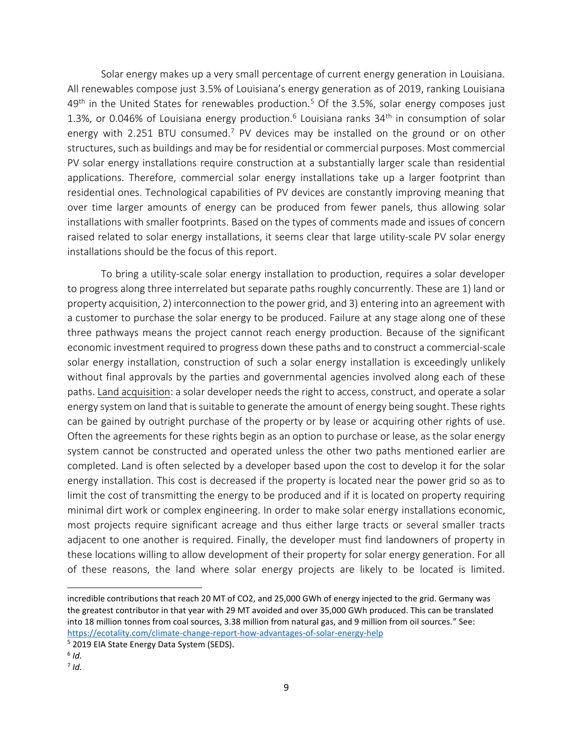Solar energy makes up a very small percentage of current energy generation in Louisiana. All renewables compose just 3.5% of Louisiana's energy generation as of 2019, ranking Louisiana  $49<sup>th</sup>$  in the United States for renewables production.<sup>5</sup> Of the 3.5%, solar energy composes just 1.3%, or 0.046% of Louisiana energy production.<sup>6</sup> Louisiana ranks 34<sup>th</sup> in consumption of solar energy with 2.251 BTU consumed.<sup>7</sup> PV devices may be installed on the ground or on other structures, such as buildings and may be for residential or commercial purposes. Most commercial PV solar energy installations require construction at a substantially larger scale than residential applications. Therefore, commercial solar energy installations take up a larger footprint than residential ones. Technological capabilities of PV devices are constantly improving meaning that over time larger amounts of energy can be produced from fewer panels, thus allowing solar installations with smaller footprints. Based on the types of comments made and issues of concern raised related to solar energy installations, it seems clear that large utility-scale PV solar energy installations should be the focus of this report.

To bring a utility-scale solar energy installation to production, requires a solar developer to progress along three interrelated but separate paths roughly concurrently. These are 1) land or property acquisition, 2) interconnection to the power grid, and 3) entering into an agreement with a customer to purchase the solar energy to be produced. Failure at any stage along one of these three pathways means the project cannot reach energy production. Because of the significant economic investment required to progress down these paths and to construct a commercial-scale solar energy installation, construction of such a solar energy installation is exceedingly unlikely without final approvals by the parties and governmental agencies involved along each of these paths. Land acquisition: a solar developer needs the right to access, construct, and operate a solar energy system on land that is suitable to generate the amount of energy being sought. These rights can be gained by outright purchase of the property or by lease or acquiring other rights of use. Often the agreements for these rights begin as an option to purchase or lease, as the solar energy system cannot be constructed and operated unless the other two paths mentioned earlier are completed. Land is often selected by a developer based upon the cost to develop it for the solar energy installation. This cost is decreased if the property is located near the power grid so as to limit the cost of transmitting the energy to be produced and if it is located on property requiring minimal dirt work or complex engineering. In order to make solar energy installations economic, most projects require significant acreage and thus either large tracts or several smaller tracts adjacent to one another is required. Finally, the developer must find landowners of property in these locations willing to allow development of their property for solar energy generation. For all of these reasons, the land where solar energy projects are likely to be located is limited.

 $\overline{\phantom{a}}$ 

incredible contributions that reach 20 MT of CO2, and 25,000 GWh of energy injected to the grid. Germany was the greatest contributor in that year with 29 MT avoided and over 35,000 GWh produced. This can be translated into 18 million tonnes from coal sources, 3.38 million from natural gas, and 9 million from oil sources." See: <https://ecotality.com/climate-change-report-how-advantages-of-solar-energy-help>

<sup>&</sup>lt;sup>5</sup> 2019 EIA State Energy Data System (SEDS).

<sup>6</sup> *Id.*

<sup>7</sup> *Id.*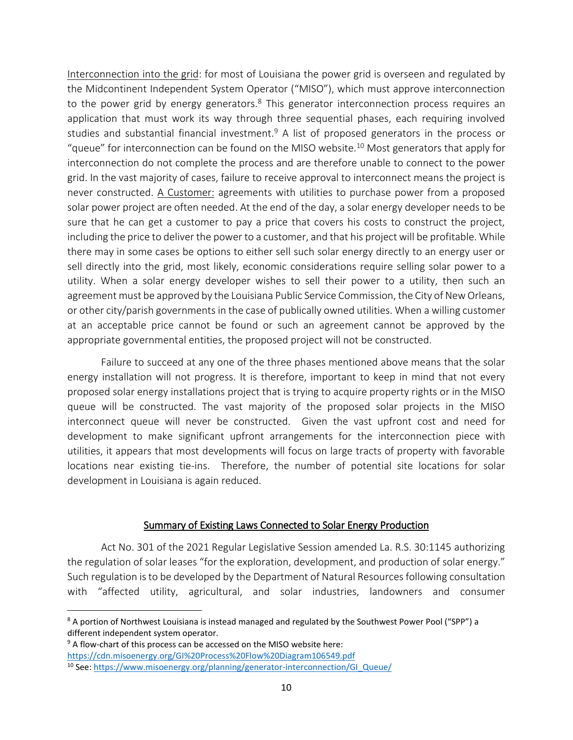Interconnection into the grid: for most of Louisiana the power grid is overseen and regulated by the Midcontinent Independent System Operator ("MISO"), which must approve interconnection to the power grid by energy generators.<sup>8</sup> This generator interconnection process requires an application that must work its way through three sequential phases, each requiring involved studies and substantial financial investment.<sup>9</sup> A list of proposed generators in the process or "queue" for interconnection can be found on the MISO website.<sup>10</sup> Most generators that apply for interconnection do not complete the process and are therefore unable to connect to the power grid. In the vast majority of cases, failure to receive approval to interconnect means the project is never constructed. A Customer: agreements with utilities to purchase power from a proposed solar power project are often needed. At the end of the day, a solar energy developer needs to be sure that he can get a customer to pay a price that covers his costs to construct the project, including the price to deliver the power to a customer, and that his project will be profitable. While there may in some cases be options to either sell such solar energy directly to an energy user or sell directly into the grid, most likely, economic considerations require selling solar power to a utility. When a solar energy developer wishes to sell their power to a utility, then such an agreement must be approved by the Louisiana Public Service Commission, the City of New Orleans, or other city/parish governments in the case of publically owned utilities. When a willing customer at an acceptable price cannot be found or such an agreement cannot be approved by the appropriate governmental entities, the proposed project will not be constructed.

Failure to succeed at any one of the three phases mentioned above means that the solar energy installation will not progress. It is therefore, important to keep in mind that not every proposed solar energy installations project that is trying to acquire property rights or in the MISO queue will be constructed. The vast majority of the proposed solar projects in the MISO interconnect queue will never be constructed. Given the vast upfront cost and need for development to make significant upfront arrangements for the interconnection piece with utilities, it appears that most developments will focus on large tracts of property with favorable locations near existing tie-ins. Therefore, the number of potential site locations for solar development in Louisiana is again reduced.

### Summary of Existing Laws Connected to Solar Energy Production

Act No. 301 of the 2021 Regular Legislative Session amended La. R.S. 30:1145 authorizing the regulation of solar leases "for the exploration, development, and production of solar energy." Such regulation is to be developed by the Department of Natural Resources following consultation with "affected utility, agricultural, and solar industries, landowners and consumer

l

 $8$  A portion of Northwest Louisiana is instead managed and regulated by the Southwest Power Pool ("SPP") a different independent system operator.

<sup>&</sup>lt;sup>9</sup> A flow-chart of this process can be accessed on the MISO website here: <https://cdn.misoenergy.org/GI%20Process%20Flow%20Diagram106549.pdf>

<sup>&</sup>lt;sup>10</sup> See: [https://www.misoenergy.org/planning/generator-interconnection/GI\\_Queue/](https://www.misoenergy.org/planning/generator-interconnection/GI_Queue/)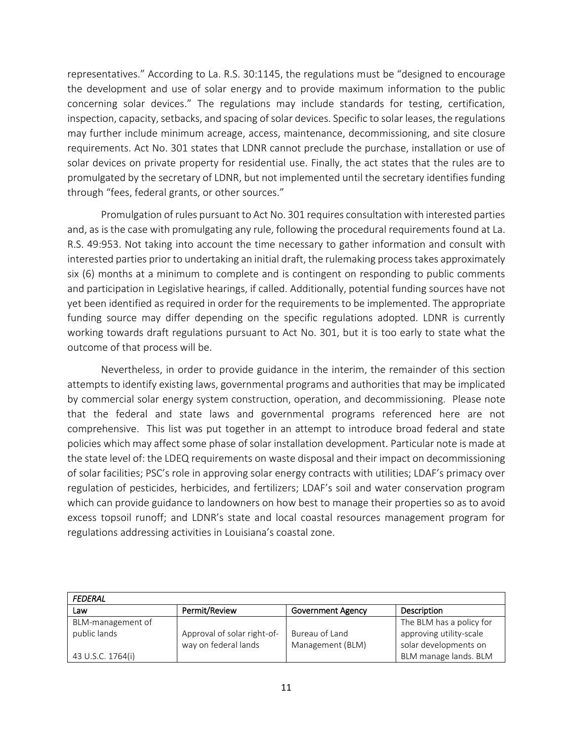representatives." According to La. R.S. 30:1145, the regulations must be "designed to encourage the development and use of solar energy and to provide maximum information to the public concerning solar devices." The regulations may include standards for testing, certification, inspection, capacity, setbacks, and spacing of solar devices. Specific to solar leases, the regulations may further include minimum acreage, access, maintenance, decommissioning, and site closure requirements. Act No. 301 states that LDNR cannot preclude the purchase, installation or use of solar devices on private property for residential use. Finally, the act states that the rules are to promulgated by the secretary of LDNR, but not implemented until the secretary identifies funding through "fees, federal grants, or other sources."

Promulgation of rules pursuant to Act No. 301 requires consultation with interested parties and, as is the case with promulgating any rule, following the procedural requirements found at La. R.S. 49:953. Not taking into account the time necessary to gather information and consult with interested parties prior to undertaking an initial draft, the rulemaking process takes approximately six (6) months at a minimum to complete and is contingent on responding to public comments and participation in Legislative hearings, if called. Additionally, potential funding sources have not yet been identified as required in order for the requirements to be implemented. The appropriate funding source may differ depending on the specific regulations adopted. LDNR is currently working towards draft regulations pursuant to Act No. 301, but it is too early to state what the outcome of that process will be.

Nevertheless, in order to provide guidance in the interim, the remainder of this section attempts to identify existing laws, governmental programs and authorities that may be implicated by commercial solar energy system construction, operation, and decommissioning. Please note that the federal and state laws and governmental programs referenced here are not comprehensive. This list was put together in an attempt to introduce broad federal and state policies which may affect some phase of solar installation development. Particular note is made at the state level of: the LDEQ requirements on waste disposal and their impact on decommissioning of solar facilities; PSC's role in approving solar energy contracts with utilities; LDAF's primacy over regulation of pesticides, herbicides, and fertilizers; LDAF's soil and water conservation program which can provide guidance to landowners on how best to manage their properties so as to avoid excess topsoil runoff; and LDNR's state and local coastal resources management program for regulations addressing activities in Louisiana's coastal zone.

| FEDERAL           |                             |                          |                          |  |
|-------------------|-----------------------------|--------------------------|--------------------------|--|
| Law               | Permit/Review               | <b>Government Agency</b> | Description              |  |
| BLM-management of |                             |                          | The BLM has a policy for |  |
| public lands      | Approval of solar right-of- | Bureau of Land           | approving utility-scale  |  |
|                   | way on federal lands        | Management (BLM)         | solar developments on    |  |
| 43 U.S.C. 1764(i) |                             |                          | BLM manage lands. BLM    |  |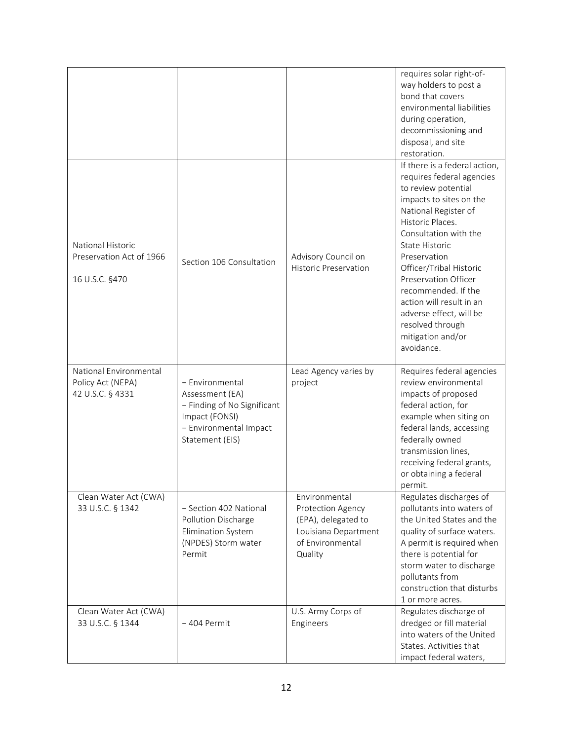|                                                                        |                                                                                                                                  |                                                                                                                  | requires solar right-of-<br>way holders to post a<br>bond that covers<br>environmental liabilities<br>during operation,<br>decommissioning and<br>disposal, and site<br>restoration.                                                                                                                                                                                                                               |
|------------------------------------------------------------------------|----------------------------------------------------------------------------------------------------------------------------------|------------------------------------------------------------------------------------------------------------------|--------------------------------------------------------------------------------------------------------------------------------------------------------------------------------------------------------------------------------------------------------------------------------------------------------------------------------------------------------------------------------------------------------------------|
| <b>National Historic</b><br>Preservation Act of 1966<br>16 U.S.C. §470 | Section 106 Consultation                                                                                                         | Advisory Council on<br><b>Historic Preservation</b>                                                              | If there is a federal action,<br>requires federal agencies<br>to review potential<br>impacts to sites on the<br>National Register of<br>Historic Places.<br>Consultation with the<br><b>State Historic</b><br>Preservation<br>Officer/Tribal Historic<br>Preservation Officer<br>recommended. If the<br>action will result in an<br>adverse effect, will be<br>resolved through<br>mitigation and/or<br>avoidance. |
| National Environmental<br>Policy Act (NEPA)<br>42 U.S.C. § 4331        | - Environmental<br>Assessment (EA)<br>- Finding of No Significant<br>Impact (FONSI)<br>- Environmental Impact<br>Statement (EIS) | Lead Agency varies by<br>project                                                                                 | Requires federal agencies<br>review environmental<br>impacts of proposed<br>federal action, for<br>example when siting on<br>federal lands, accessing<br>federally owned<br>transmission lines,<br>receiving federal grants,<br>or obtaining a federal<br>permit.                                                                                                                                                  |
| Clean Water Act (CWA)<br>33 U.S.C. § 1342                              | - Section 402 National<br>Pollution Discharge<br>Elimination System<br>(NPDES) Storm water<br>Permit                             | Environmental<br>Protection Agency<br>(EPA), delegated to<br>Louisiana Department<br>of Environmental<br>Quality | Regulates discharges of<br>pollutants into waters of<br>the United States and the<br>quality of surface waters.<br>A permit is required when<br>there is potential for<br>storm water to discharge<br>pollutants from<br>construction that disturbs<br>1 or more acres.                                                                                                                                            |
| Clean Water Act (CWA)<br>33 U.S.C. § 1344                              | - 404 Permit                                                                                                                     | U.S. Army Corps of<br>Engineers                                                                                  | Regulates discharge of<br>dredged or fill material<br>into waters of the United<br>States. Activities that<br>impact federal waters,                                                                                                                                                                                                                                                                               |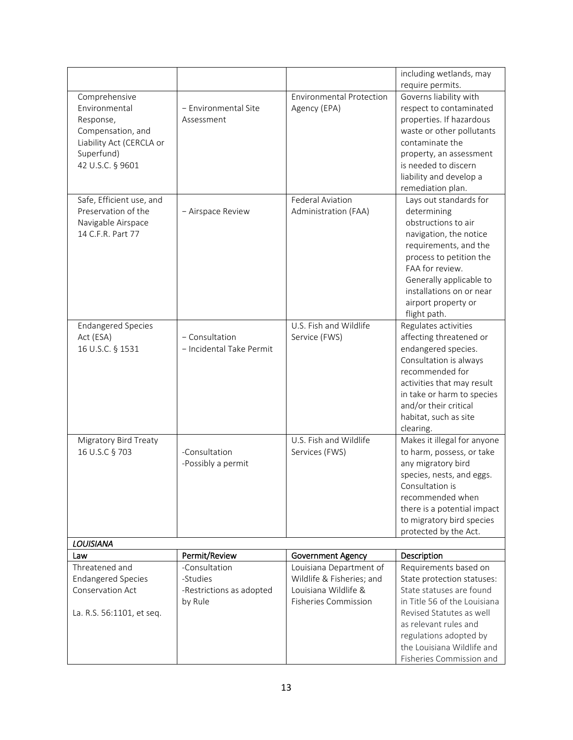|                           |                          |                                 | including wetlands, may                              |
|---------------------------|--------------------------|---------------------------------|------------------------------------------------------|
|                           |                          |                                 | require permits.                                     |
| Comprehensive             |                          | <b>Environmental Protection</b> | Governs liability with                               |
| Environmental             | - Environmental Site     | Agency (EPA)                    | respect to contaminated                              |
| Response,                 | Assessment               |                                 | properties. If hazardous                             |
| Compensation, and         |                          |                                 | waste or other pollutants                            |
| Liability Act (CERCLA or  |                          |                                 | contaminate the                                      |
| Superfund)                |                          |                                 | property, an assessment                              |
| 42 U.S.C. § 9601          |                          |                                 | is needed to discern                                 |
|                           |                          |                                 | liability and develop a                              |
|                           |                          |                                 | remediation plan.                                    |
| Safe, Efficient use, and  |                          | Federal Aviation                | Lays out standards for                               |
| Preservation of the       | - Airspace Review        | Administration (FAA)            | determining                                          |
| Navigable Airspace        |                          |                                 | obstructions to air                                  |
| 14 C.F.R. Part 77         |                          |                                 | navigation, the notice                               |
|                           |                          |                                 | requirements, and the                                |
|                           |                          |                                 | process to petition the                              |
|                           |                          |                                 | FAA for review.                                      |
|                           |                          |                                 | Generally applicable to                              |
|                           |                          |                                 | installations on or near                             |
|                           |                          |                                 | airport property or                                  |
|                           |                          |                                 | flight path.                                         |
| <b>Endangered Species</b> |                          | U.S. Fish and Wildlife          | Regulates activities                                 |
| Act (ESA)                 | - Consultation           | Service (FWS)                   | affecting threatened or                              |
| 16 U.S.C. § 1531          | - Incidental Take Permit |                                 | endangered species.                                  |
|                           |                          |                                 | Consultation is always                               |
|                           |                          |                                 | recommended for                                      |
|                           |                          |                                 | activities that may result                           |
|                           |                          |                                 | in take or harm to species                           |
|                           |                          |                                 | and/or their critical                                |
|                           |                          |                                 | habitat, such as site                                |
|                           |                          |                                 | clearing.                                            |
| Migratory Bird Treaty     |                          | U.S. Fish and Wildlife          | Makes it illegal for anyone                          |
| 16 U.S.C § 703            | -Consultation            | Services (FWS)                  | to harm, possess, or take                            |
|                           | -Possibly a permit       |                                 | any migratory bird                                   |
|                           |                          |                                 | species, nests, and eggs.                            |
|                           |                          |                                 | Consultation is                                      |
|                           |                          |                                 | recommended when                                     |
|                           |                          |                                 | there is a potential impact                          |
|                           |                          |                                 | to migratory bird species                            |
|                           |                          |                                 | protected by the Act.                                |
| <b>LOUISIANA</b>          |                          |                                 |                                                      |
| Law                       | Permit/Review            | <b>Government Agency</b>        | Description                                          |
| Threatened and            | -Consultation            | Louisiana Department of         | Requirements based on                                |
| <b>Endangered Species</b> | -Studies                 | Wildlife & Fisheries; and       | State protection statuses:                           |
| <b>Conservation Act</b>   | -Restrictions as adopted | Louisiana Wildlife &            | State statuses are found                             |
|                           | by Rule                  | <b>Fisheries Commission</b>     | in Title 56 of the Louisiana                         |
| La. R.S. 56:1101, et seq. |                          |                                 | Revised Statutes as well                             |
|                           |                          |                                 | as relevant rules and                                |
|                           |                          |                                 | regulations adopted by<br>the Louisiana Wildlife and |
|                           |                          |                                 |                                                      |
|                           |                          |                                 | Fisheries Commission and                             |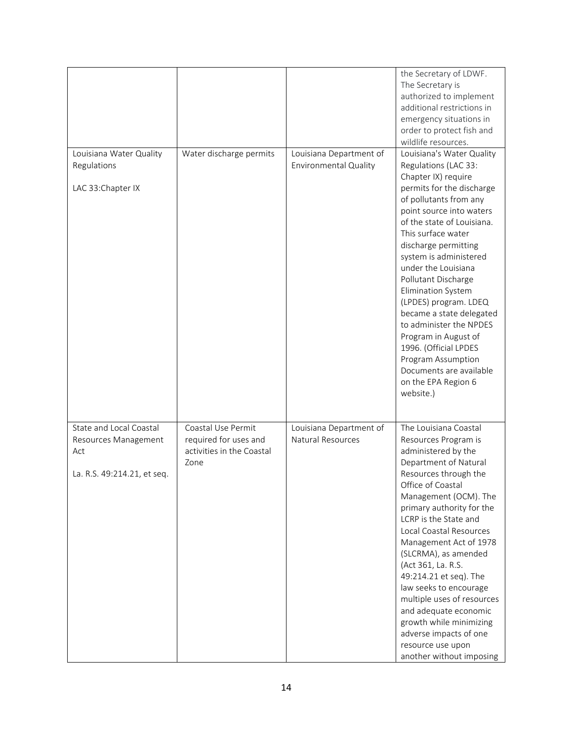|                                                                                       |                                                                                  |                                                         | the Secretary of LDWF.<br>The Secretary is<br>authorized to implement<br>additional restrictions in<br>emergency situations in<br>order to protect fish and<br>wildlife resources.                                                                                                                                                                                                                                                                                                                                                                                 |
|---------------------------------------------------------------------------------------|----------------------------------------------------------------------------------|---------------------------------------------------------|--------------------------------------------------------------------------------------------------------------------------------------------------------------------------------------------------------------------------------------------------------------------------------------------------------------------------------------------------------------------------------------------------------------------------------------------------------------------------------------------------------------------------------------------------------------------|
| Louisiana Water Quality<br>Regulations<br>LAC 33: Chapter IX                          | Water discharge permits                                                          | Louisiana Department of<br><b>Environmental Quality</b> | Louisiana's Water Quality<br>Regulations (LAC 33:<br>Chapter IX) require<br>permits for the discharge<br>of pollutants from any<br>point source into waters<br>of the state of Louisiana.<br>This surface water<br>discharge permitting<br>system is administered<br>under the Louisiana<br>Pollutant Discharge<br><b>Elimination System</b><br>(LPDES) program. LDEQ<br>became a state delegated<br>to administer the NPDES<br>Program in August of<br>1996. (Official LPDES<br>Program Assumption<br>Documents are available<br>on the EPA Region 6<br>website.) |
| State and Local Coastal<br>Resources Management<br>Act<br>La. R.S. 49:214.21, et seq. | Coastal Use Permit<br>required for uses and<br>activities in the Coastal<br>Zone | Louisiana Department of<br><b>Natural Resources</b>     | The Louisiana Coastal<br>Resources Program is<br>administered by the<br>Department of Natural<br>Resources through the<br>Office of Coastal<br>Management (OCM). The<br>primary authority for the<br>LCRP is the State and<br>Local Coastal Resources<br>Management Act of 1978<br>(SLCRMA), as amended<br>(Act 361, La. R.S.<br>49:214.21 et seq). The<br>law seeks to encourage<br>multiple uses of resources<br>and adequate economic<br>growth while minimizing<br>adverse impacts of one<br>resource use upon<br>another without imposing                     |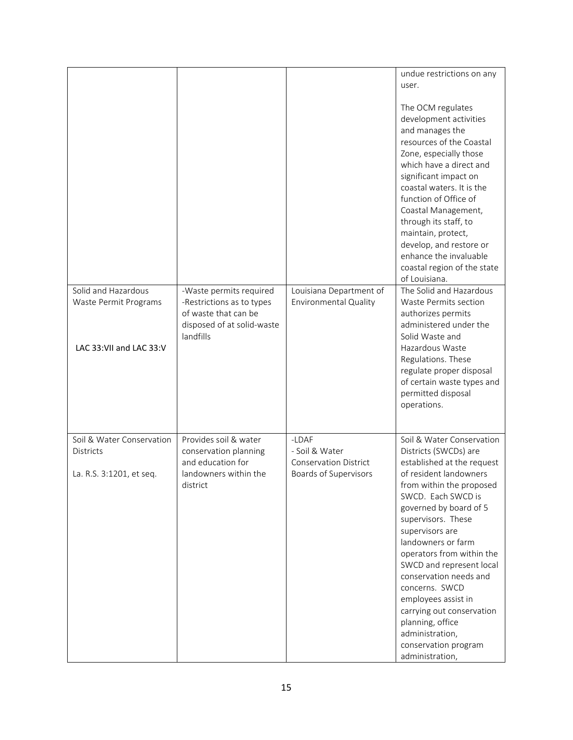|                                                                         |                                                                                                                         |                                                         | undue restrictions on any<br>user.                                                                                                                                                                                                                                                                                                                                                                           |
|-------------------------------------------------------------------------|-------------------------------------------------------------------------------------------------------------------------|---------------------------------------------------------|--------------------------------------------------------------------------------------------------------------------------------------------------------------------------------------------------------------------------------------------------------------------------------------------------------------------------------------------------------------------------------------------------------------|
|                                                                         |                                                                                                                         |                                                         | The OCM regulates<br>development activities<br>and manages the<br>resources of the Coastal<br>Zone, especially those<br>which have a direct and<br>significant impact on<br>coastal waters. It is the<br>function of Office of<br>Coastal Management,<br>through its staff, to<br>maintain, protect,<br>develop, and restore or<br>enhance the invaluable<br>coastal region of the state<br>of Louisiana.    |
| Solid and Hazardous<br>Waste Permit Programs<br>LAC 33:VII and LAC 33:V | -Waste permits required<br>-Restrictions as to types<br>of waste that can be<br>disposed of at solid-waste<br>landfills | Louisiana Department of<br><b>Environmental Quality</b> | The Solid and Hazardous<br>Waste Permits section<br>authorizes permits<br>administered under the<br>Solid Waste and<br>Hazardous Waste                                                                                                                                                                                                                                                                       |
|                                                                         |                                                                                                                         |                                                         | Regulations. These<br>regulate proper disposal<br>of certain waste types and<br>permitted disposal<br>operations.                                                                                                                                                                                                                                                                                            |
| Soil & Water Conservation<br><b>Districts</b>                           | Provides soil & water<br>conservation planning<br>and education for                                                     | -LDAF<br>- Soil & Water<br><b>Conservation District</b> | Soil & Water Conservation<br>Districts (SWCDs) are<br>established at the request                                                                                                                                                                                                                                                                                                                             |
| La. R.S. 3:1201, et seq.                                                | landowners within the<br>district                                                                                       | Boards of Supervisors                                   | of resident landowners<br>from within the proposed<br>SWCD. Each SWCD is<br>governed by board of 5<br>supervisors. These<br>supervisors are<br>landowners or farm<br>operators from within the<br>SWCD and represent local<br>conservation needs and<br>concerns. SWCD<br>employees assist in<br>carrying out conservation<br>planning, office<br>administration,<br>conservation program<br>administration, |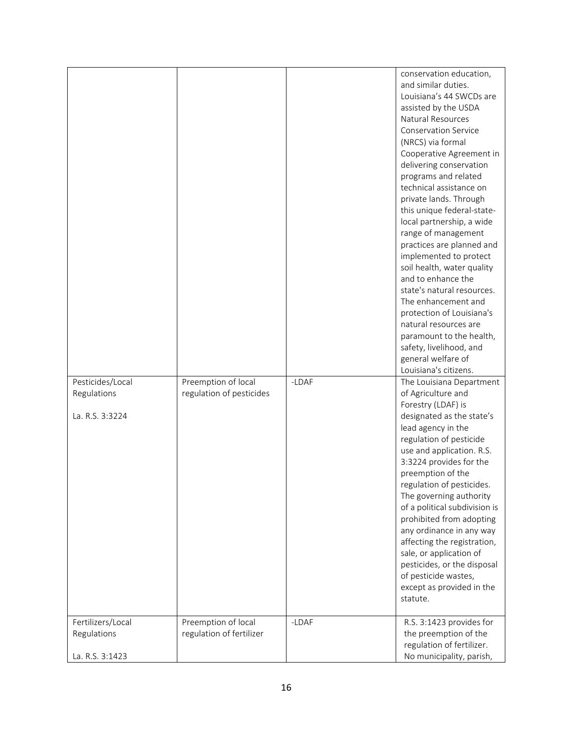| Pesticides/Local                                    | Preemption of local                             | -LDAF | conservation education,<br>and similar duties.<br>Louisiana's 44 SWCDs are<br>assisted by the USDA<br>Natural Resources<br><b>Conservation Service</b><br>(NRCS) via formal<br>Cooperative Agreement in<br>delivering conservation<br>programs and related<br>technical assistance on<br>private lands. Through<br>this unique federal-state-<br>local partnership, a wide<br>range of management<br>practices are planned and<br>implemented to protect<br>soil health, water quality<br>and to enhance the<br>state's natural resources.<br>The enhancement and<br>protection of Louisiana's<br>natural resources are<br>paramount to the health,<br>safety, livelihood, and<br>general welfare of<br>Louisiana's citizens.<br>The Louisiana Department |
|-----------------------------------------------------|-------------------------------------------------|-------|-----------------------------------------------------------------------------------------------------------------------------------------------------------------------------------------------------------------------------------------------------------------------------------------------------------------------------------------------------------------------------------------------------------------------------------------------------------------------------------------------------------------------------------------------------------------------------------------------------------------------------------------------------------------------------------------------------------------------------------------------------------|
| Regulations<br>La. R.S. 3:3224                      | regulation of pesticides                        |       | of Agriculture and<br>Forestry (LDAF) is<br>designated as the state's<br>lead agency in the<br>regulation of pesticide<br>use and application. R.S.<br>3:3224 provides for the<br>preemption of the<br>regulation of pesticides.<br>The governing authority<br>of a political subdivision is<br>prohibited from adopting<br>any ordinance in any way<br>affecting the registration,<br>sale, or application of<br>pesticides, or the disposal<br>of pesticide wastes,<br>except as provided in the<br>statute.                                                                                                                                                                                                                                            |
| Fertilizers/Local<br>Regulations<br>La. R.S. 3:1423 | Preemption of local<br>regulation of fertilizer | -LDAF | R.S. 3:1423 provides for<br>the preemption of the<br>regulation of fertilizer.<br>No municipality, parish,                                                                                                                                                                                                                                                                                                                                                                                                                                                                                                                                                                                                                                                |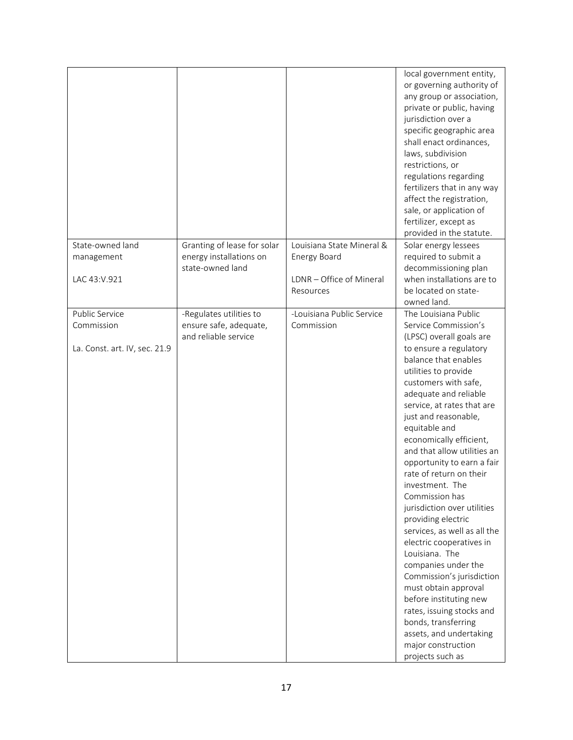|                                                               |                                                                            |                                                                                    | local government entity,<br>or governing authority of<br>any group or association,<br>private or public, having<br>jurisdiction over a<br>specific geographic area<br>shall enact ordinances,<br>laws, subdivision<br>restrictions, or<br>regulations regarding<br>fertilizers that in any way<br>affect the registration,<br>sale, or application of<br>fertilizer, except as<br>provided in the statute.                                                                                                                                                                                                                                                                                                                                                                       |
|---------------------------------------------------------------|----------------------------------------------------------------------------|------------------------------------------------------------------------------------|----------------------------------------------------------------------------------------------------------------------------------------------------------------------------------------------------------------------------------------------------------------------------------------------------------------------------------------------------------------------------------------------------------------------------------------------------------------------------------------------------------------------------------------------------------------------------------------------------------------------------------------------------------------------------------------------------------------------------------------------------------------------------------|
| State-owned land<br>management<br>LAC 43:V.921                | Granting of lease for solar<br>energy installations on<br>state-owned land | Louisiana State Mineral &<br>Energy Board<br>LDNR - Office of Mineral<br>Resources | Solar energy lessees<br>required to submit a<br>decommissioning plan<br>when installations are to<br>be located on state-                                                                                                                                                                                                                                                                                                                                                                                                                                                                                                                                                                                                                                                        |
|                                                               |                                                                            |                                                                                    | owned land.                                                                                                                                                                                                                                                                                                                                                                                                                                                                                                                                                                                                                                                                                                                                                                      |
| Public Service<br>Commission<br>La. Const. art. IV, sec. 21.9 | -Regulates utilities to<br>ensure safe, adequate,<br>and reliable service  | -Louisiana Public Service<br>Commission                                            | The Louisiana Public<br>Service Commission's<br>(LPSC) overall goals are<br>to ensure a regulatory<br>balance that enables<br>utilities to provide<br>customers with safe,<br>adequate and reliable<br>service, at rates that are<br>just and reasonable,<br>equitable and<br>economically efficient,<br>and that allow utilities an<br>opportunity to earn a fair<br>rate of return on their<br>investment. The<br>Commission has<br>jurisdiction over utilities<br>providing electric<br>services, as well as all the<br>electric cooperatives in<br>Louisiana. The<br>companies under the<br>Commission's jurisdiction<br>must obtain approval<br>before instituting new<br>rates, issuing stocks and<br>bonds, transferring<br>assets, and undertaking<br>major construction |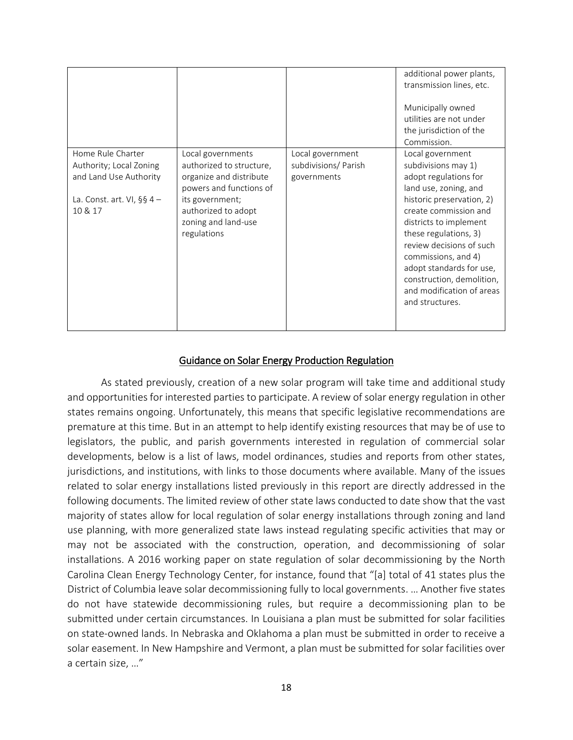|                                                                                                                     |                                                                                                                                                                                     |                                                         | additional power plants,<br>transmission lines, etc.<br>Municipally owned<br>utilities are not under<br>the jurisdiction of the<br>Commission.                                                                                                                                                                                                                 |
|---------------------------------------------------------------------------------------------------------------------|-------------------------------------------------------------------------------------------------------------------------------------------------------------------------------------|---------------------------------------------------------|----------------------------------------------------------------------------------------------------------------------------------------------------------------------------------------------------------------------------------------------------------------------------------------------------------------------------------------------------------------|
| Home Rule Charter<br>Authority; Local Zoning<br>and Land Use Authority<br>La. Const. art. VI, $\S$ § 4 –<br>10 & 17 | Local governments<br>authorized to structure,<br>organize and distribute<br>powers and functions of<br>its government;<br>authorized to adopt<br>zoning and land-use<br>regulations | Local government<br>subdivisions/ Parish<br>governments | Local government<br>subdivisions may 1)<br>adopt regulations for<br>land use, zoning, and<br>historic preservation, 2)<br>create commission and<br>districts to implement<br>these regulations, 3)<br>review decisions of such<br>commissions, and 4)<br>adopt standards for use,<br>construction, demolition,<br>and modification of areas<br>and structures. |

### Guidance on Solar Energy Production Regulation

As stated previously, creation of a new solar program will take time and additional study and opportunities for interested parties to participate. A review of solar energy regulation in other states remains ongoing. Unfortunately, this means that specific legislative recommendations are premature at this time. But in an attempt to help identify existing resources that may be of use to legislators, the public, and parish governments interested in regulation of commercial solar developments, below is a list of laws, model ordinances, studies and reports from other states, jurisdictions, and institutions, with links to those documents where available. Many of the issues related to solar energy installations listed previously in this report are directly addressed in the following documents. The limited review of other state laws conducted to date show that the vast majority of states allow for local regulation of solar energy installations through zoning and land use planning, with more generalized state laws instead regulating specific activities that may or may not be associated with the construction, operation, and decommissioning of solar installations. A 2016 working paper on state regulation of solar decommissioning by the North Carolina Clean Energy Technology Center, for instance, found that "[a] total of 41 states plus the District of Columbia leave solar decommissioning fully to local governments. … Another five states do not have statewide decommissioning rules, but require a decommissioning plan to be submitted under certain circumstances. In Louisiana a plan must be submitted for solar facilities on state-owned lands. In Nebraska and Oklahoma a plan must be submitted in order to receive a solar easement. In New Hampshire and Vermont, a plan must be submitted for solar facilities over a certain size, …"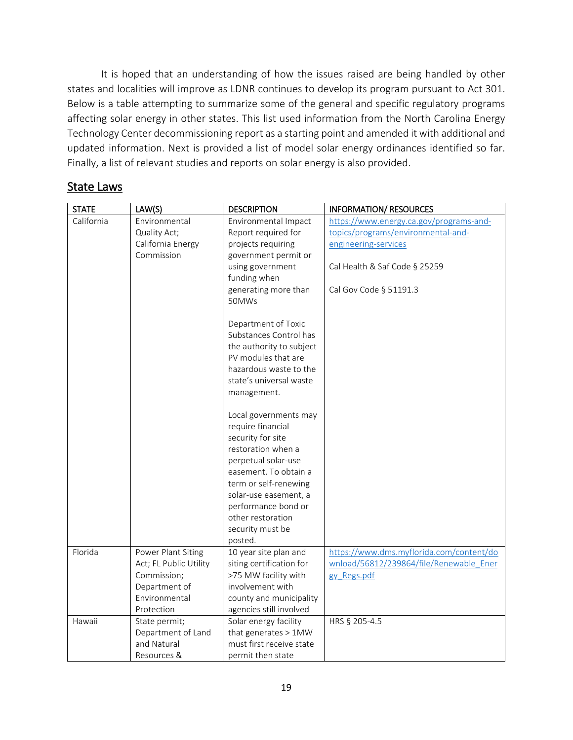It is hoped that an understanding of how the issues raised are being handled by other states and localities will improve as LDNR continues to develop its program pursuant to Act 301. Below is a table attempting to summarize some of the general and specific regulatory programs affecting solar energy in other states. This list used information from the North Carolina Energy Technology Center decommissioning report as a starting point and amended it with additional and updated information. Next is provided a list of model solar energy ordinances identified so far. Finally, a list of relevant studies and reports on solar energy is also provided.

| <b>State Laws</b> |  |
|-------------------|--|
|                   |  |

| <b>STATE</b> | LAW(S)                 | <b>DESCRIPTION</b>                           | <b>INFORMATION/ RESOURCES</b>            |
|--------------|------------------------|----------------------------------------------|------------------------------------------|
| California   | Environmental          | Environmental Impact                         | https://www.energy.ca.gov/programs-and-  |
|              | Quality Act;           | Report required for                          | topics/programs/environmental-and-       |
|              | California Energy      | projects requiring                           | engineering-services                     |
|              | Commission             | government permit or                         |                                          |
|              |                        | using government                             | Cal Health & Saf Code § 25259            |
|              |                        | funding when                                 |                                          |
|              |                        | generating more than                         | Cal Gov Code § 51191.3                   |
|              |                        | 50MWs                                        |                                          |
|              |                        |                                              |                                          |
|              |                        | Department of Toxic                          |                                          |
|              |                        | Substances Control has                       |                                          |
|              |                        | the authority to subject                     |                                          |
|              |                        | PV modules that are                          |                                          |
|              |                        | hazardous waste to the                       |                                          |
|              |                        | state's universal waste                      |                                          |
|              |                        | management.                                  |                                          |
|              |                        |                                              |                                          |
|              |                        | Local governments may<br>require financial   |                                          |
|              |                        |                                              |                                          |
|              |                        | security for site                            |                                          |
|              |                        | restoration when a                           |                                          |
|              |                        | perpetual solar-use<br>easement. To obtain a |                                          |
|              |                        | term or self-renewing                        |                                          |
|              |                        | solar-use easement, a                        |                                          |
|              |                        | performance bond or                          |                                          |
|              |                        | other restoration                            |                                          |
|              |                        | security must be                             |                                          |
|              |                        | posted.                                      |                                          |
| Florida      | Power Plant Siting     | 10 year site plan and                        | https://www.dms.myflorida.com/content/do |
|              | Act; FL Public Utility | siting certification for                     | wnload/56812/239864/file/Renewable Ener  |
|              | Commission;            | >75 MW facility with                         | gy Regs.pdf                              |
|              | Department of          | involvement with                             |                                          |
|              | Environmental          | county and municipality                      |                                          |
|              | Protection             | agencies still involved                      |                                          |
| Hawaii       | State permit;          | Solar energy facility                        | HRS § 205-4.5                            |
|              | Department of Land     | that generates > 1MW                         |                                          |
|              | and Natural            | must first receive state                     |                                          |
|              | Resources &            | permit then state                            |                                          |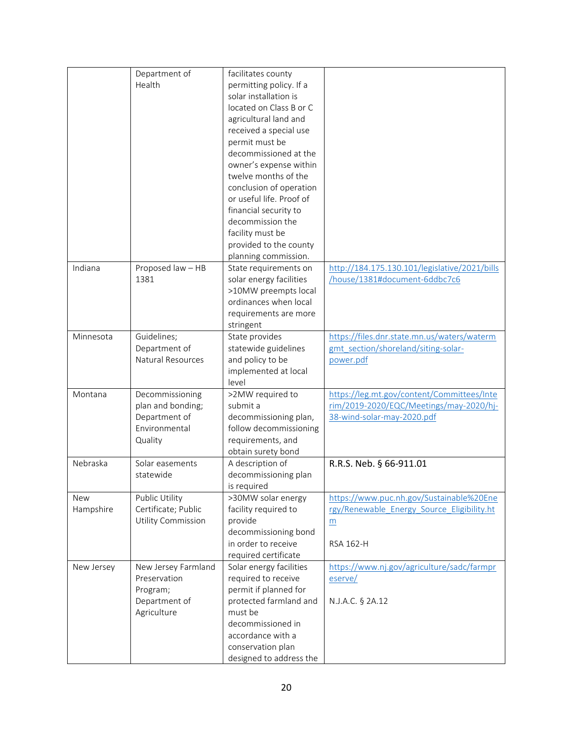|            | Department of             | facilitates county       |                                               |
|------------|---------------------------|--------------------------|-----------------------------------------------|
|            | Health                    | permitting policy. If a  |                                               |
|            |                           | solar installation is    |                                               |
|            |                           | located on Class B or C  |                                               |
|            |                           |                          |                                               |
|            |                           | agricultural land and    |                                               |
|            |                           | received a special use   |                                               |
|            |                           | permit must be           |                                               |
|            |                           | decommissioned at the    |                                               |
|            |                           | owner's expense within   |                                               |
|            |                           | twelve months of the     |                                               |
|            |                           | conclusion of operation  |                                               |
|            |                           | or useful life. Proof of |                                               |
|            |                           | financial security to    |                                               |
|            |                           | decommission the         |                                               |
|            |                           | facility must be         |                                               |
|            |                           | provided to the county   |                                               |
|            |                           | planning commission.     |                                               |
| Indiana    | Proposed law - HB         | State requirements on    | http://184.175.130.101/legislative/2021/bills |
|            | 1381                      | solar energy facilities  | /house/1381#document-6ddbc7c6                 |
|            |                           | >10MW preempts local     |                                               |
|            |                           | ordinances when local    |                                               |
|            |                           | requirements are more    |                                               |
|            |                           |                          |                                               |
| Minnesota  |                           | stringent                |                                               |
|            | Guidelines;               | State provides           | https://files.dnr.state.mn.us/waters/waterm   |
|            | Department of             | statewide guidelines     | gmt_section/shoreland/siting-solar-           |
|            | <b>Natural Resources</b>  | and policy to be         | power.pdf                                     |
|            |                           | implemented at local     |                                               |
|            |                           | level                    |                                               |
| Montana    | Decommissioning           | >2MW required to         | https://leg.mt.gov/content/Committees/Inte    |
|            | plan and bonding;         | submit a                 | rim/2019-2020/EQC/Meetings/may-2020/hj-       |
|            | Department of             | decommissioning plan,    | 38-wind-solar-may-2020.pdf                    |
|            | Environmental             | follow decommissioning   |                                               |
|            | Quality                   | requirements, and        |                                               |
|            |                           | obtain surety bond       |                                               |
| Nebraska   | Solar easements           | A description of         | R.R.S. Neb. § 66-911.01                       |
|            | statewide                 | decommissioning plan     |                                               |
|            |                           | is required              |                                               |
| <b>New</b> | Public Utility            | >30MW solar energy       | https://www.puc.nh.gov/Sustainable%20Ene      |
| Hampshire  | Certificate; Public       | facility required to     | rgy/Renewable Energy Source Eligibility.ht    |
|            | <b>Utility Commission</b> | provide                  | m                                             |
|            |                           | decommissioning bond     |                                               |
|            |                           | in order to receive      | RSA 162-H                                     |
|            |                           | required certificate     |                                               |
| New Jersey | New Jersey Farmland       | Solar energy facilities  | https://www.nj.gov/agriculture/sadc/farmpr    |
|            | Preservation              | required to receive      | eserve/                                       |
|            | Program;                  | permit if planned for    |                                               |
|            | Department of             | protected farmland and   | N.J.A.C. § 2A.12                              |
|            | Agriculture               | must be                  |                                               |
|            |                           | decommissioned in        |                                               |
|            |                           |                          |                                               |
|            |                           | accordance with a        |                                               |
|            |                           | conservation plan        |                                               |
|            |                           | designed to address the  |                                               |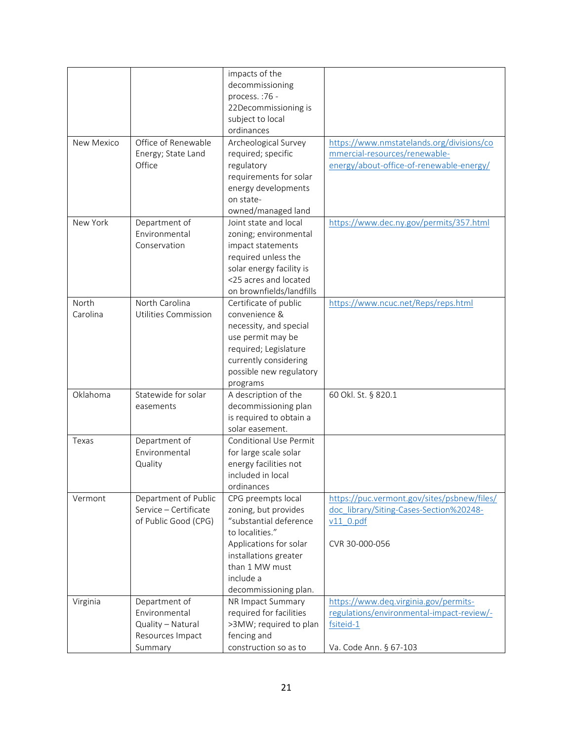|            |                       | impacts of the                |                                             |
|------------|-----------------------|-------------------------------|---------------------------------------------|
|            |                       | decommissioning               |                                             |
|            |                       | process.: 76 -                |                                             |
|            |                       |                               |                                             |
|            |                       | 22Decommissioning is          |                                             |
|            |                       | subject to local              |                                             |
|            |                       | ordinances                    |                                             |
| New Mexico | Office of Renewable   | Archeological Survey          | https://www.nmstatelands.org/divisions/co   |
|            | Energy; State Land    | required; specific            | mmercial-resources/renewable-               |
|            | Office                | regulatory                    | energy/about-office-of-renewable-energy/    |
|            |                       | requirements for solar        |                                             |
|            |                       | energy developments           |                                             |
|            |                       | on state-                     |                                             |
|            |                       | owned/managed land            |                                             |
| New York   | Department of         | Joint state and local         | https://www.dec.ny.gov/permits/357.html     |
|            | Environmental         | zoning; environmental         |                                             |
|            | Conservation          | impact statements             |                                             |
|            |                       | required unless the           |                                             |
|            |                       | solar energy facility is      |                                             |
|            |                       | <25 acres and located         |                                             |
|            |                       | on brownfields/landfills      |                                             |
| North      | North Carolina        | Certificate of public         | https://www.ncuc.net/Reps/reps.html         |
| Carolina   | Utilities Commission  | convenience &                 |                                             |
|            |                       | necessity, and special        |                                             |
|            |                       | use permit may be             |                                             |
|            |                       | required; Legislature         |                                             |
|            |                       |                               |                                             |
|            |                       | currently considering         |                                             |
|            |                       | possible new regulatory       |                                             |
| Oklahoma   | Statewide for solar   | programs                      |                                             |
|            |                       | A description of the          | 60 Okl. St. § 820.1                         |
|            | easements             | decommissioning plan          |                                             |
|            |                       | is required to obtain a       |                                             |
|            |                       | solar easement.               |                                             |
| Texas      | Department of         | <b>Conditional Use Permit</b> |                                             |
|            | Environmental         | for large scale solar         |                                             |
|            | Quality               | energy facilities not         |                                             |
|            |                       | included in local             |                                             |
|            |                       | ordinances                    |                                             |
| Vermont    | Department of Public  | CPG preempts local            | https://puc.vermont.gov/sites/psbnew/files/ |
|            | Service - Certificate | zoning, but provides          | doc library/Siting-Cases-Section%20248-     |
|            | of Public Good (CPG)  | "substantial deference        | $v11$ 0.pdf                                 |
|            |                       | to localities."               |                                             |
|            |                       | Applications for solar        | CVR 30-000-056                              |
|            |                       | installations greater         |                                             |
|            |                       | than 1 MW must                |                                             |
|            |                       | include a                     |                                             |
|            |                       | decommissioning plan.         |                                             |
| Virginia   | Department of         | NR Impact Summary             | https://www.deq.virginia.gov/permits-       |
|            | Environmental         | required for facilities       | regulations/environmental-impact-review/-   |
|            | Quality - Natural     | >3MW; required to plan        | fsiteid-1                                   |
|            | Resources Impact      | fencing and                   |                                             |
|            | Summary               | construction so as to         | Va. Code Ann. § 67-103                      |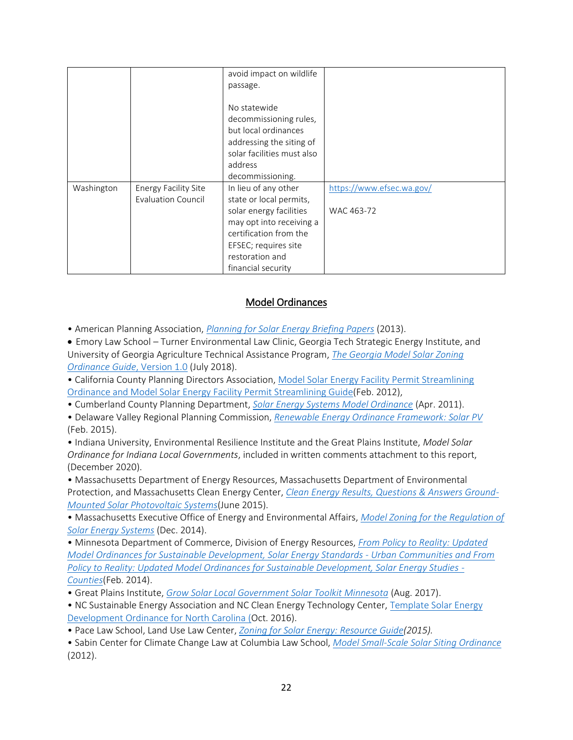|            |                             | avoid impact on wildlife   |                           |
|------------|-----------------------------|----------------------------|---------------------------|
|            |                             | passage.                   |                           |
|            |                             |                            |                           |
|            |                             | No statewide               |                           |
|            |                             | decommissioning rules,     |                           |
|            |                             | but local ordinances       |                           |
|            |                             | addressing the siting of   |                           |
|            |                             | solar facilities must also |                           |
|            |                             | address                    |                           |
|            |                             | decommissioning.           |                           |
| Washington | <b>Energy Facility Site</b> | In lieu of any other       | https://www.efsec.wa.gov/ |
|            | <b>Evaluation Council</b>   | state or local permits,    |                           |
|            |                             | solar energy facilities    | WAC 463-72                |
|            |                             | may opt into receiving a   |                           |
|            |                             | certification from the     |                           |
|            |                             | EFSEC; requires site       |                           |
|            |                             | restoration and            |                           |
|            |                             | financial security         |                           |

## Model Ordinances

• American Planning Association, *[Planning for Solar Energy Briefing Papers](https://planning-org-uploaded-media.s3.amazonaws.com/legacy_resources/research/solar/briefingpapers/pdf/solarpaperscompendium.pdf)* (2013).

 Emory Law School – Turner Environmental Law Clinic, Georgia Tech Strategic Energy Institute, and University of Georgia Agriculture Technical Assistance Program, *[The Georgia Model Solar Zoning](https://lpdd.org/wp-content/uploads/2021/05/2018-07-30_mso_guide_final.pdf#:~:text=The%20Georgia%20Model%20Solar%20Zoning%20Ordinance%20%28Georgia%20Model,nationwide%20and%20shaped%20to%20fit%20Georgia%E2%80%99s%20specific%20needs)  [Ordinance Guide](https://lpdd.org/wp-content/uploads/2021/05/2018-07-30_mso_guide_final.pdf#:~:text=The%20Georgia%20Model%20Solar%20Zoning%20Ordinance%20%28Georgia%20Model,nationwide%20and%20shaped%20to%20fit%20Georgia%E2%80%99s%20specific%20needs)*, Version 1.0 (July 2018).

• California County Planning Directors Association, [Model Solar Energy Facility Permit Streamlining](https://ccpda.org/documents/solar-issues/solar-energy-facility-permit-streamling-2012-02-03/140-appendix-a-ccpda-model-sef-permit-streamlining-ordinance/file)  [Ordinance and Model Solar Energy Facility Permit Streamlining Guide\(](https://ccpda.org/documents/solar-issues/solar-energy-facility-permit-streamling-2012-02-03/140-appendix-a-ccpda-model-sef-permit-streamlining-ordinance/file)Feb. 2012),

• Cumberland County Planning Department, *[Solar Energy Systems Model Ordinance](https://www.ccpa.net/DocumentCenter/View/7947/final-solar-4-19-11?bidId)* (Apr. 2011).

• Delaware Valley Regional Planning Commission, *[Renewable Energy Ordinance Framework: Solar PV](https://www.dvrpc.org/EnergyClimate/ModelOrdinance/Solar/pdf/2016_DVRPC_Solar_REOF_Reformatted_Final.pdf)* (Feb. 2015).

• Indiana University, Environmental Resilience Institute and the Great Plains Institute, *Model Solar Ordinance for Indiana Local Governments*, included in written comments attachment to this report, (December 2020).

• Massachusetts Department of Energy Resources, Massachusetts Department of Environmental Protection, and Massachusetts Clean Energy Center, *[Clean Energy Results, Questions & Answers Ground-](https://www.mass.gov/files/documents/2016/08/rn/solar-pv-guide.pdf)[Mounted Solar Photovoltaic](https://www.mass.gov/files/documents/2016/08/rn/solar-pv-guide.pdf) Systems*(June 2015).

• Massachusetts Executive Office of Energy and Environmental Affairs, *[Model Zoning for the Regulation of](https://www.mass.gov/files/documents/2016/08/nc/model-solar-zoning.pdf)  [Solar Energy Systems](https://www.mass.gov/files/documents/2016/08/nc/model-solar-zoning.pdf)* (Dec. 2014).

• Minnesota Department of Commerce, Division of Energy Resources, *[From Policy to Reality: Updated](http://www.growsolar.org/wp-content/uploads/2014/10/SolarEnergyStandardsCountyFeb14.pdf)  [Model Ordinances for Sustainable Development, Solar Energy Standards -](http://www.growsolar.org/wp-content/uploads/2014/10/SolarEnergyStandardsCountyFeb14.pdf) Urban Communities and From [Policy to Reality: Updated Model Ordinances for Sustainable Development, Solar Energy Studies -](http://www.growsolar.org/wp-content/uploads/2014/10/SolarEnergyStandardsCountyFeb14.pdf) [Counties](http://www.growsolar.org/wp-content/uploads/2014/10/SolarEnergyStandardsCountyFeb14.pdf)*(Feb. 2014).

- Great Plains Institute, *[Grow Solar Local Government Solar Toolkit Minnesota](https://www.betterenergy.org/blog/minnesota-solar-toolkit/)* (Aug. 2017).
- NC Sustainable Energy Association and NC Clean Energy Technology Center, Template Solar Energy [Development Ordinance for North Carolina](https://nccleantech.ncsu.edu/wp-content/uploads/2018/06/NC-Template-Solar-Ordinance.pdf) (Oct. 2016).

• Pace Law School, Land Use Law Center, *[Zoning for Solar Energy: Resource Guide\(](https://digitalcommons.pace.edu/cgi/viewcontent.cgi?article=1004&=&context=environmental&=&sei-redir=1&referer=https%253A%252F%252Fwww.bing.com%252Fsearch%253Fq%253DPace%252BLaw%252BSchool%252C%252BLand%252BUse%252BLaw%252BCenter%252C%252BZoning%252Bfor%252BSolar%252BEnergy%25253A%252BResource%252BGuide%2526src%253DIE-SearchBox%2526FORM%253DIESR3S#search=%22Pace%20Law%20School%2C%20Land%20Use%20Law%20Center%2C%20Zoning%20Solar%20Energy%3A%20Resource%20Guide%22)2015).*

• Sabin Center for Climate Change Law at Columbia Law School, *[Model Small-Scale Solar Siting Ordinance](https://climate.law.columbia.edu/sites/default/files/content/docs/others/Model-ordinance-Solar-v-7.pdf)* (2012).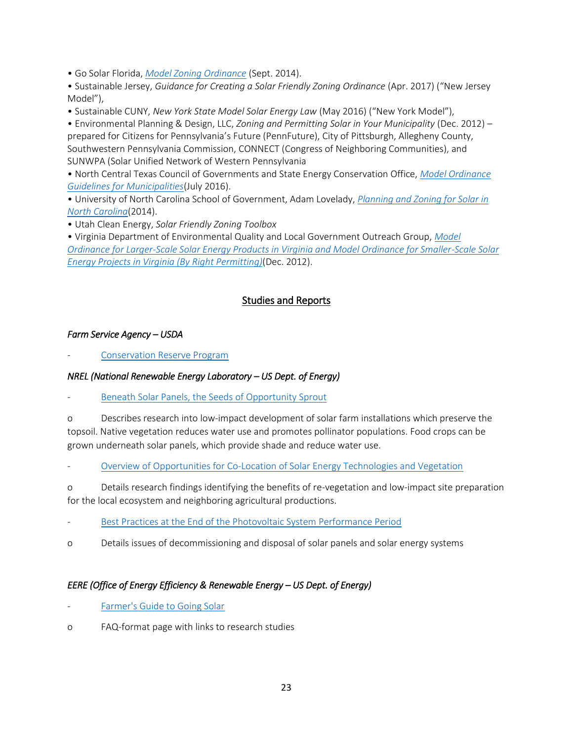• Go Solar Florida, *[Model Zoning Ordinance](https://www.broward.org/GoGreen/GoSOLAR/GoSOLARFlorida/Documents/Go_SOLAR_Florida_Model_Zoning_Ordinance%202014.pdf)* (Sept. 2014).

• Sustainable Jersey, *Guidance for Creating a Solar Friendly Zoning Ordinance* (Apr. 2017) ("New Jersey Model"),

• Sustainable CUNY, *New York State Model Solar Energy Law* (May 2016) ("New York Model"),

• Environmental Planning & Design, LLC, *Zoning and Permitting Solar in Your Municipality* (Dec. 2012) – prepared for Citizens for Pennsylvania's Future (PennFuture), City of Pittsburgh, Allegheny County, Southwestern Pennsylvania Commission, CONNECT (Congress of Neighboring Communities), and SUNWPA (Solar Unified Network of Western Pennsylvania

• North Central Texas Council of Governments and State Energy Conservation Office, *[Model Ordinance](https://www.gosolartexas.org/getmedia/4f320710-7d0d-40b7-aaf8-49d18294623c/Solar-PV-Model-Ordinance-Guide.pdf)  [Guidelines for Municipalities](https://www.gosolartexas.org/getmedia/4f320710-7d0d-40b7-aaf8-49d18294623c/Solar-PV-Model-Ordinance-Guide.pdf)*(July 2016).

• University of North Carolina School of Government, Adam Lovelady, *[Planning and Zoning for Solar in](https://www.sog.unc.edu/publications/reports/planning-and-zoning-solar-north-carolina)  [North Carolina](https://www.sog.unc.edu/publications/reports/planning-and-zoning-solar-north-carolina)*(2014).

• Utah Clean Energy, *Solar Friendly Zoning Toolbox*

• Virginia Department of Environmental Quality and Local Government Outreach Group, *[Model](https://www.planning.org/knowledgebase/resource/7002579/)  [Ordinance for Larger-Scale Solar Energy Products in Virginia and Model Ordinance for Smaller-Scale Solar](https://www.planning.org/knowledgebase/resource/7002579/)  [Energy Projects in Virginia \(By Right Permitting\)](https://www.planning.org/knowledgebase/resource/7002579/)*(Dec. 2012).

## Studies and Reports

### *Farm Service Agency – USDA*

[Conservation Reserve Program](https://www.fsa.usda.gov/programs-and-services/conservation-programs/conservation-reserve-program/index)

### *NREL (National Renewable Energy Laboratory – US Dept. of Energy)*

[Beneath Solar Panels, the Seeds of Opportunity Sprout](https://www.nrel.gov/news/features/2019/beneath-solar-panels-the-seeds-of-opportunity-sprout.html)

o Describes research into low-impact development of solar farm installations which preserve the topsoil. Native vegetation reduces water use and promotes pollinator populations. Food crops can be grown underneath solar panels, which provide shade and reduce water use.

[Overview of Opportunities for Co-Location of Solar Energy Technologies and Vegetation](https://www.nrel.gov/docs/fy14osti/60240.pdf)

o Details research findings identifying the benefits of re-vegetation and low-impact site preparation for the local ecosystem and neighboring agricultural productions.

- [Best Practices at the End of the Photovoltaic System Performance Period](https://www.nrel.gov/docs/fy21osti/78678.pdf)
- o Details issues of decommissioning and disposal of solar panels and solar energy systems

### *EERE (Office of Energy Efficiency & Renewable Energy – US Dept. of Energy)*

- [Farmer's Guide to Going Solar](https://www.energy.gov/eere/solar/farmers-guide-going-solar)
- o FAQ-format page with links to research studies